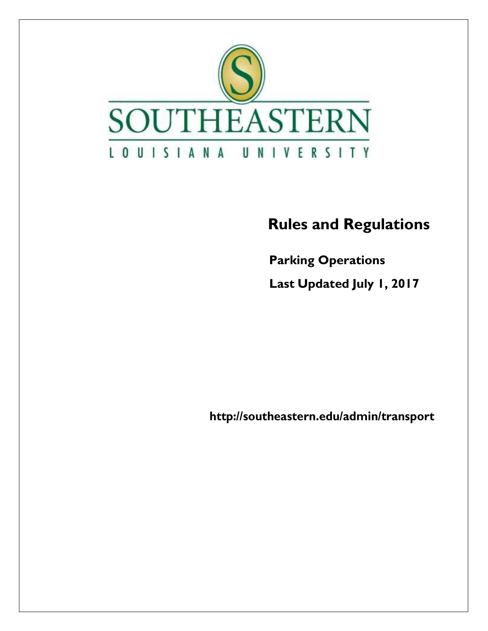

### **Rules and Regulations**

 **Parking Operations** 

 **Last Updated July 1, 2017**

**<http://southeastern.edu/admin/transport>**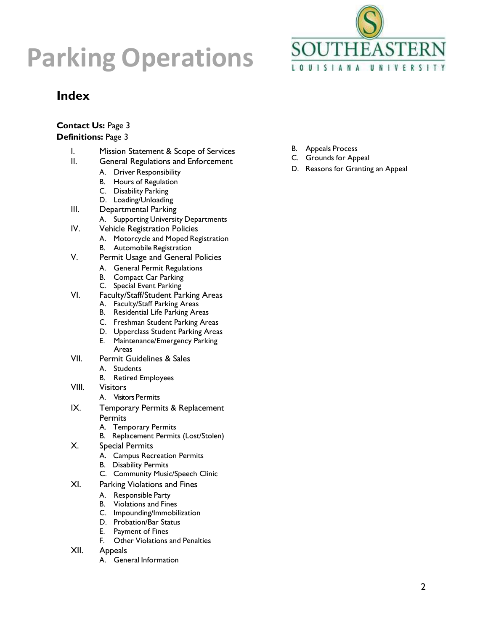

### **Index**

### **Contact Us:** Page 3

### **Definitions:** Page 3

- I. Mission Statement & Scope of Services
- II. General Regulations and Enforcement
	- A. Driver Responsibility
	- B. Hours of Regulation
	- C. Disability Parking
	- D. Loading/Unloading
- III. Departmental Parking
	- A. Supporting University Departments
- IV. Vehicle Registration Policies
	- A. Motorcycle and Moped Registration
		- B. Automobile Registration
- V. Permit Usage and General Policies
	- A. General Permit Regulations
	- B. Compact Car Parking
	- C. Special Event Parking
- VI. Faculty/Staff/Student Parking Areas
	- A. Faculty/Staff Parking Areas
	- B. Residential Life Parking Areas
	- C. Freshman Student Parking Areas
	- D. Upperclass Student Parking Areas
	- E. Maintenance/Emergency Parking Areas
- VII. Permit Guidelines & Sales
	- A. Students
	- B. Retired Employees
- VIII. Visitors
	- A. Visitors Permits
- IX. Temporary Permits & Replacement **Permits** 
	- A. Temporary Permits
	- B. Replacement Permits (Lost/Stolen)
- X. Special Permits
	- A. Campus Recreation Permits
	- B. Disability Permits
	- C. Community Music/Speech Clinic
- XI. Parking Violations and Fines
	- A. Responsible Party
	- B. Violations and Fines
	- C. Impounding/Immobilization
	- D. Probation/Bar Status
	- E. Payment of Fines
	- F. Other Violations and Penalties
- XII. Appeals
	- A. General Information
- B. Appeals Process
- C. Grounds for Appeal
- D. Reasons for Granting an Appeal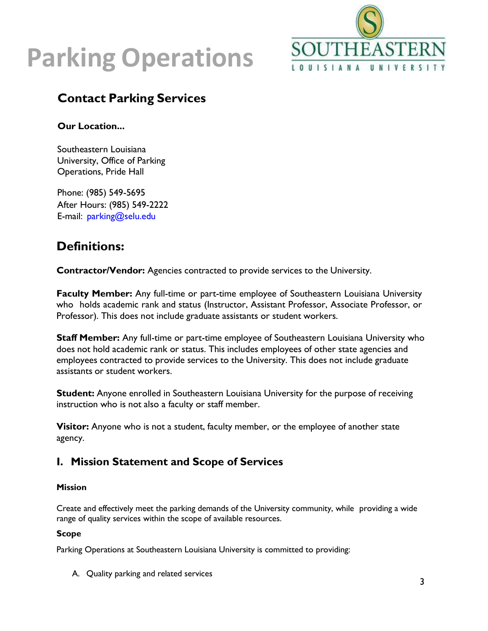

### **Contact Parking Services**

**Our Location...**

Southeastern Louisiana University, Office of Parking Operations, Pride Hall

Phone: (985) 549-5695 After Hours: (985) 549-2222 E-mail: [parking@selu.edu](mailto:parking@selu.edu) 

### **Definitions:**

**Contractor/Vendor:** Agencies contracted to provide services to the University.

**Faculty Member:** Any full-time or part-time employee of Southeastern Louisiana University who holds academic rank and status (Instructor, Assistant Professor, Associate Professor, or Professor). This does not include graduate assistants or student workers.

**Staff Member:** Any full-time or part-time employee of Southeastern Louisiana University who does not hold academic rank or status. This includes employees of other state agencies and employees contracted to provide services to the University. This does not include graduate assistants or student workers.

**Student:** Anyone enrolled in Southeastern Louisiana University for the purpose of receiving instruction who is not also a faculty or staff member.

**Visitor:** Anyone who is not a student, faculty member, or the employee of another state agency.

### **I. Mission Statement and Scope of Services**

### **Mission**

Create and effectively meet the parking demands of the University community, while providing a wide range of quality services within the scope of available resources.

### **Scope**

Parking Operations at Southeastern Louisiana University is committed to providing:

A. Quality parking and related services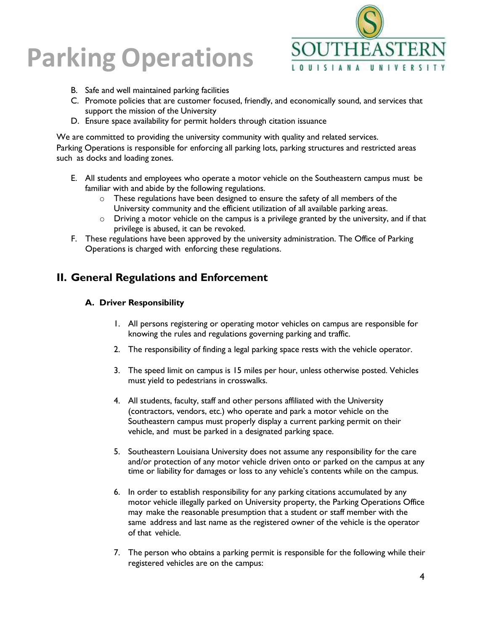

- B. Safe and well maintained parking facilities
- C. Promote policies that are customer focused, friendly, and economically sound, and services that support the mission of the University
- D. Ensure space availability for permit holders through citation issuance

We are committed to providing the university community with quality and related services. Parking Operations is responsible for enforcing all parking lots, parking structures and restricted areas such as docks and loading zones.

- E. All students and employees who operate a motor vehicle on the Southeastern campus must be familiar with and abide by the following regulations.
	- o These regulations have been designed to ensure the safety of all members of the University community and the efficient utilization of all available parking areas.
	- o Driving a motor vehicle on the campus is a privilege granted by the university, and if that privilege is abused, it can be revoked.
- F. These regulations have been approved by the university administration. The Office of Parking Operations is charged with enforcing these regulations.

### **II. General Regulations and Enforcement**

### **A. Driver Responsibility**

- 1. All persons registering or operating motor vehicles on campus are responsible for knowing the rules and regulations governing parking and traffic.
- 2. The responsibility of finding a legal parking space rests with the vehicle operator.
- 3. The speed limit on campus is 15 miles per hour, unless otherwise posted. Vehicles must yield to pedestrians in crosswalks.
- 4. All students, faculty, staff and other persons affiliated with the University (contractors, vendors, etc.) who operate and park a motor vehicle on the Southeastern campus must properly display a current parking permit on their vehicle, and must be parked in a designated parking space.
- 5. Southeastern Louisiana University does not assume any responsibility for the care and/or protection of any motor vehicle driven onto or parked on the campus at any time or liability for damages or loss to any vehicle's contents while on the campus.
- 6. In order to establish responsibility for any parking citations accumulated by any motor vehicle illegally parked on University property, the Parking Operations Office may make the reasonable presumption that a student or staff member with the same address and last name as the registered owner of the vehicle is the operator of that vehicle.
- 7. The person who obtains a parking permit is responsible for the following while their registered vehicles are on the campus: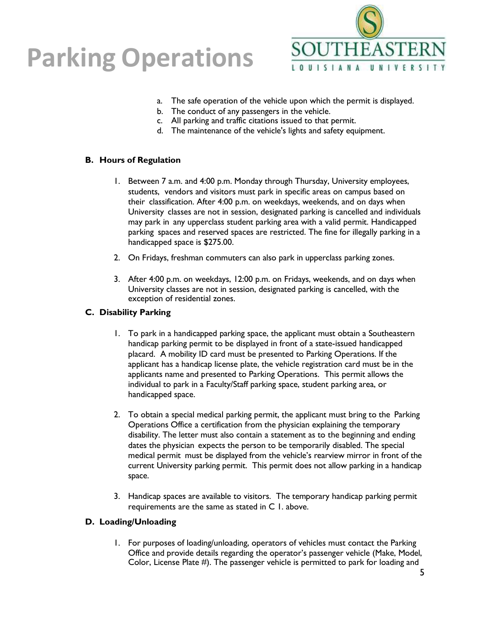

- a. The safe operation of the vehicle upon which the permit is displayed.
- b. The conduct of any passengers in the vehicle.
- c. All parking and traffic citations issued to that permit.
- d. The maintenance of the vehicle's lights and safety equipment.

### **B. Hours of Regulation**

- 1. Between 7 a.m. and 4:00 p.m. Monday through Thursday, University employees, students, vendors and visitors must park in specific areas on campus based on their classification. After 4:00 p.m. on weekdays, weekends, and on days when University classes are not in session, designated parking is cancelled and individuals may park in any upperclass student parking area with a valid permit. Handicapped parking spaces and reserved spaces are restricted. The fine for illegally parking in a handicapped space is \$275.00.
- 2. On Fridays, freshman commuters can also park in upperclass parking zones.
- 3. After 4:00 p.m. on weekdays, 12:00 p.m. on Fridays, weekends, and on days when University classes are not in session, designated parking is cancelled, with the exception of residential zones.

### **C. Disability Parking**

- 1. To park in a handicapped parking space, the applicant must obtain a Southeastern handicap parking permit to be displayed in front of a state-issued handicapped placard. A mobility ID card must be presented to Parking Operations. If the applicant has a handicap license plate, the vehicle registration card must be in the applicants name and presented to Parking Operations. This permit allows the individual to park in a Faculty/Staff parking space, student parking area, or handicapped space.
- 2. To obtain a special medical parking permit, the applicant must bring to the Parking Operations Office a certification from the physician explaining the temporary disability. The letter must also contain a statement as to the beginning and ending dates the physician expects the person to be temporarily disabled. The special medical permit must be displayed from the vehicle's rearview mirror in front of the current University parking permit. This permit does not allow parking in a handicap space.
- 3. Handicap spaces are available to visitors. The temporary handicap parking permit requirements are the same as stated in C 1. above.

### **D. Loading/Unloading**

1. For purposes of loading/unloading, operators of vehicles must contact the Parking Office and provide details regarding the operator's passenger vehicle (Make, Model, Color, License Plate #). The passenger vehicle is permitted to park for loading and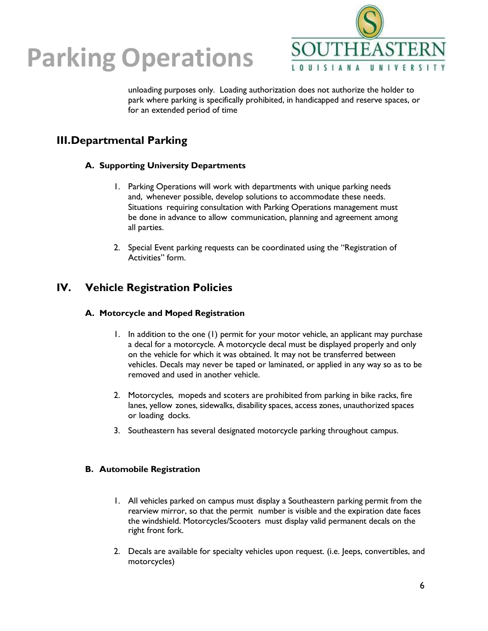

unloading purposes only. Loading authorization does not authorize the holder to park where parking is specifically prohibited, in handicapped and reserve spaces, or for an extended period of time

### **III.Departmental Parking**

### **A. Supporting University Departments**

- 1. Parking Operations will work with departments with unique parking needs and, whenever possible, develop solutions to accommodate these needs. Situations requiring consultation with Parking Operations management must be done in advance to allow communication, planning and agreement among all parties.
- 2. Special Event parking requests can be coordinated using the "Registration of Activities" form.

### **IV. Vehicle Registration Policies**

### **A. Motorcycle and Moped Registration**

- 1. In addition to the one (1) permit for your motor vehicle, an applicant may purchase a decal for a motorcycle. A motorcycle decal must be displayed properly and only on the vehicle for which it was obtained. It may not be transferred between vehicles. Decals may never be taped or laminated, or applied in any way so as to be removed and used in another vehicle.
- 2. Motorcycles, mopeds and scoters are prohibited from parking in bike racks, fire lanes, yellow zones, sidewalks, disability spaces, access zones, unauthorized spaces or loading docks.
- 3. Southeastern has several designated motorcycle parking throughout campus.

### **B. Automobile Registration**

- 1. All vehicles parked on campus must display a Southeastern parking permit from the rearview mirror, so that the permit number is visible and the expiration date faces the windshield. Motorcycles/Scooters must display valid permanent decals on the right front fork.
- 2. Decals are available for specialty vehicles upon request. (i.e. Jeeps, convertibles, and motorcycles)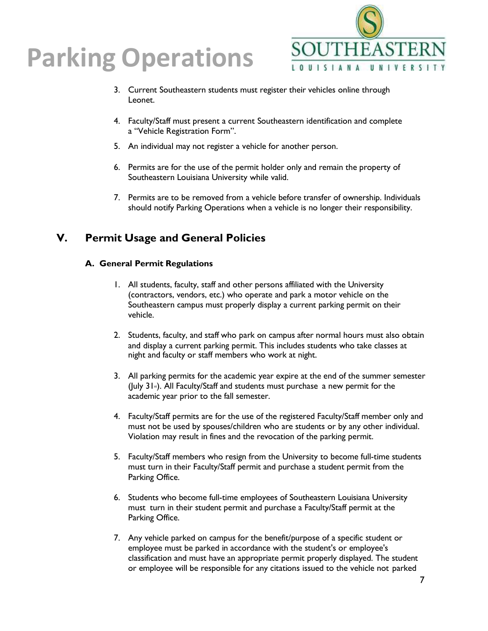

- 3. Current Southeastern students must register their vehicles online through Leonet.
- 4. Faculty/Staff must present a current Southeastern identification and complete a "Vehicle Registration Form".
- 5. An individual may not register a vehicle for another person.
- 6. Permits are for the use of the permit holder only and remain the property of Southeastern Louisiana University while valid.
- 7. Permits are to be removed from a vehicle before transfer of ownership. Individuals should notify Parking Operations when a vehicle is no longer their responsibility.

### **V. Permit Usage and General Policies**

### **A. General Permit Regulations**

- 1. All students, faculty, staff and other persons affiliated with the University (contractors, vendors, etc.) who operate and park a motor vehicle on the Southeastern campus must properly display a current parking permit on their vehicle.
- 2. Students, faculty, and staff who park on campus after normal hours must also obtain and display a current parking permit. This includes students who take classes at night and faculty or staff members who work at night.
- 3. All parking permits for the academic year expire at the end of the summer semester (July  $31$ <sup>s</sup>). All Faculty/Staff and students must purchase a new permit for the academic year prior to the fall semester.
- 4. Faculty/Staff permits are for the use of the registered Faculty/Staff member only and must not be used by spouses/children who are students or by any other individual. Violation may result in fines and the revocation of the parking permit.
- 5. Faculty/Staff members who resign from the University to become full-time students must turn in their Faculty/Staff permit and purchase a student permit from the Parking Office.
- 6. Students who become full-time employees of Southeastern Louisiana University must turn in their student permit and purchase a Faculty/Staff permit at the Parking Office.
- 7. Any vehicle parked on campus for the benefit/purpose of a specific student or employee must be parked in accordance with the student's or employee's classification and must have an appropriate permit properly displayed. The student or employee will be responsible for any citations issued to the vehicle not parked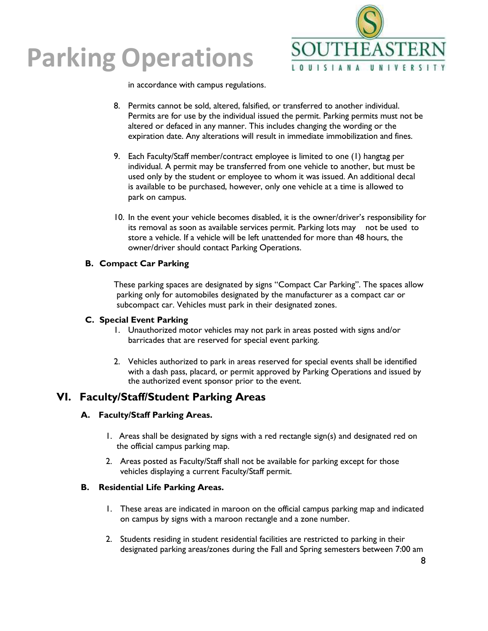

in accordance with campus regulations.

- 8. Permits cannot be sold, altered, falsified, or transferred to another individual. Permits are for use by the individual issued the permit. Parking permits must not be altered or defaced in any manner. This includes changing the wording or the expiration date. Any alterations will result in immediate immobilization and fines.
- 9. Each Faculty/Staff member/contract employee is limited to one (1) hangtag per individual. A permit may be transferred from one vehicle to another, but must be used only by the student or employee to whom it was issued. An additional decal is available to be purchased, however, only one vehicle at a time is allowed to park on campus.
- 10. In the event your vehicle becomes disabled, it is the owner/driver's responsibility for its removal as soon as available services permit. Parking lots may not be used to store a vehicle. If a vehicle will be left unattended for more than 48 hours, the owner/driver should contact Parking Operations.

#### **B. Compact Car Parking**

These parking spaces are designated by signs "Compact Car Parking". The spaces allow parking only for automobiles designated by the manufacturer as a compact car or subcompact car. Vehicles must park in their designated zones.

#### **C. Special Event Parking**

- 1. Unauthorized motor vehicles may not park in areas posted with signs and/or barricades that are reserved for special event parking.
- 2. Vehicles authorized to park in areas reserved for special events shall be identified with a dash pass, placard, or permit approved by Parking Operations and issued by the authorized event sponsor prior to the event.

### **VI. Faculty/Staff/Student Parking Areas**

### **A. Faculty/Staff Parking Areas.**

- 1. Areas shall be designated by signs with a red rectangle sign(s) and designated red on the official campus parking map.
- 2. Areas posted as Faculty/Staff shall not be available for parking except for those vehicles displaying a current Faculty/Staff permit.

#### **B. Residential Life Parking Areas.**

- 1. These areas are indicated in maroon on the official campus parking map and indicated on campus by signs with a maroon rectangle and a zone number.
- 2. Students residing in student residential facilities are restricted to parking in their designated parking areas/zones during the Fall and Spring semesters between 7:00 am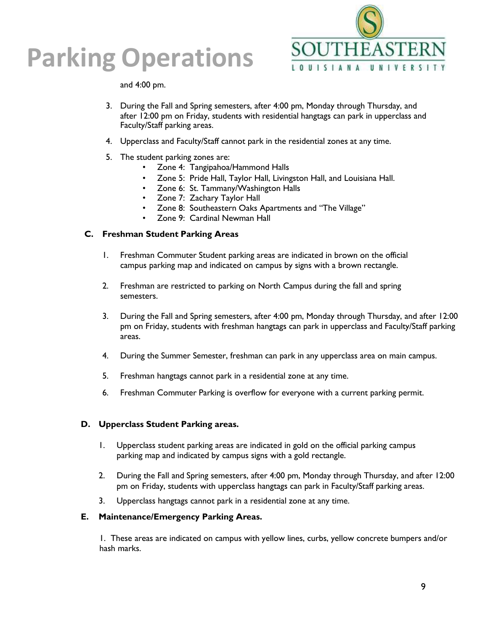

and 4:00 pm.

- 3. During the Fall and Spring semesters, after 4:00 pm, Monday through Thursday, and after 12:00 pm on Friday, students with residential hangtags can park in upperclass and Faculty/Staff parking areas.
- 4. Upperclass and Faculty/Staff cannot park in the residential zones at any time.
- 5. The student parking zones are:
	- Zone 4: Tangipahoa/Hammond Halls
	- Zone 5: Pride Hall, Taylor Hall, Livingston Hall, and Louisiana Hall.
	- Zone 6: St. Tammany/Washington Halls
	- Zone 7: Zachary Taylor Hall
	- Zone 8: Southeastern Oaks Apartments and "The Village"
	- Zone 9: Cardinal Newman Hall

#### **C. Freshman Student Parking Areas**

- 1. Freshman Commuter Student parking areas are indicated in brown on the official campus parking map and indicated on campus by signs with a brown rectangle.
- 2. Freshman are restricted to parking on North Campus during the fall and spring semesters.
- 3. During the Fall and Spring semesters, after 4:00 pm, Monday through Thursday, and after 12:00 pm on Friday, students with freshman hangtags can park in upperclass and Faculty/Staff parking areas.
- 4. During the Summer Semester, freshman can park in any upperclass area on main campus.
- 5. Freshman hangtags cannot park in a residential zone at any time.
- 6. Freshman Commuter Parking is overflow for everyone with a current parking permit.

### **D. Upperclass Student Parking areas.**

- 1. Upperclass student parking areas are indicated in gold on the official parking campus parking map and indicated by campus signs with a gold rectangle.
- 2. During the Fall and Spring semesters, after 4:00 pm, Monday through Thursday, and after 12:00 pm on Friday, students with upperclass hangtags can park in Faculty/Staff parking areas.
- 3. Upperclass hangtags cannot park in a residential zone at any time.

#### **E. Maintenance/Emergency Parking Areas.**

1. These areas are indicated on campus with yellow lines, curbs, yellow concrete bumpers and/or hash marks.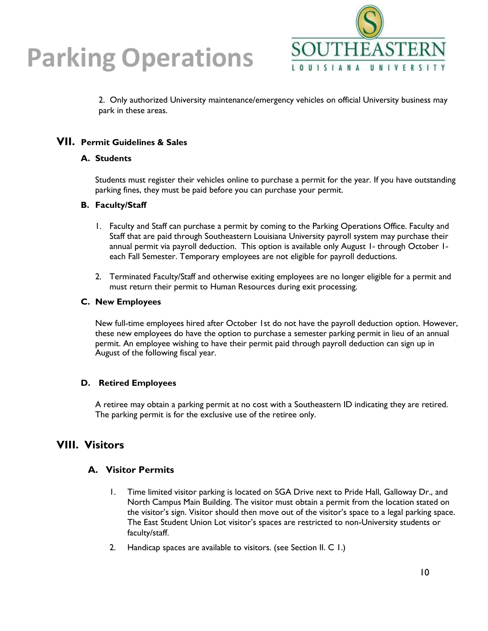

2. Only authorized University maintenance/emergency vehicles on official University business may park in these areas.

### **VII. Permit Guidelines & Sales**

#### **A. Students**

Students must register their vehicles online to purchase a permit for the year. If you have outstanding parking fines, they must be paid before you can purchase your permit.

#### **B. Faculty/Staff**

- 1. Faculty and Staff can purchase a permit by coming to the Parking Operations Office. Faculty and Staff that are paid through Southeastern Louisiana University payroll system may purchase their annual permit via payroll deduction. This option is available only August 1st through October 1st each Fall Semester. Temporary employees are not eligible for payroll deductions.
- 2. Terminated Faculty/Staff and otherwise exiting employees are no longer eligible for a permit and must return their permit to Human Resources during exit processing.

#### **C. New Employees**

New full-time employees hired after October 1st do not have the payroll deduction option. However, these new employees do have the option to purchase a semester parking permit in lieu of an annual permit. An employee wishing to have their permit paid through payroll deduction can sign up in August of the following fiscal year.

### **D. Retired Employees**

A retiree may obtain a parking permit at no cost with a Southeastern ID indicating they are retired. The parking permit is for the exclusive use of the retiree only.

### **VIII. Visitors**

### **A. Visitor Permits**

- 1. Time limited visitor parking is located on SGA Drive next to Pride Hall, Galloway Dr., and North Campus Main Building. The visitor must obtain a permit from the location stated on the visitor's sign. Visitor should then move out of the visitor's space to a legal parking space. The East Student Union Lot visitor's spaces are restricted to non-University students or faculty/staff.
- 2. Handicap spaces are available to visitors. (see Section II. C 1.)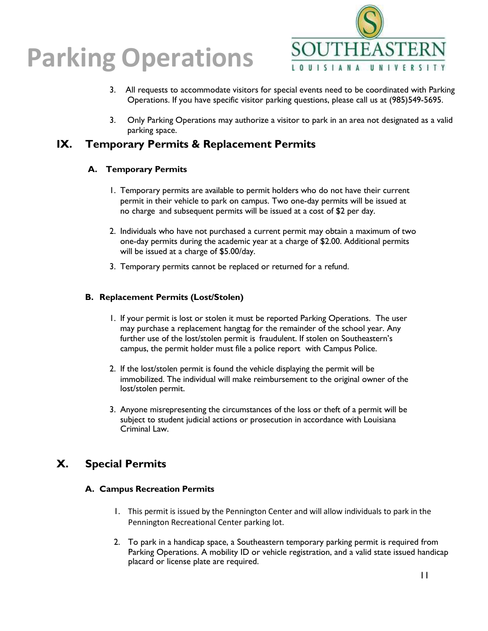

- 3. All requests to accommodate visitors for special events need to be coordinated with Parking Operations. If you have specific visitor parking questions, please call us at (985)549-5695.
- 3. Only Parking Operations may authorize a visitor to park in an area not designated as a valid parking space.

### **IX. Temporary Permits & Replacement Permits**

### **A. Temporary Permits**

- 1. Temporary permits are available to permit holders who do not have their current permit in their vehicle to park on campus. Two one-day permits will be issued at no charge and subsequent permits will be issued at a cost of \$2 per day.
- 2. Individuals who have not purchased a current permit may obtain a maximum of two one-day permits during the academic year at a charge of \$2.00. Additional permits will be issued at a charge of \$5.00/day.
- 3. Temporary permits cannot be replaced or returned for a refund.

### **B. Replacement Permits (Lost/Stolen)**

- 1. If your permit is lost or stolen it must be reported Parking Operations. The user may purchase a replacement hangtag for the remainder of the school year. Any further use of the lost/stolen permit is fraudulent. If stolen on Southeastern's campus, the permit holder must file a police report with Campus Police.
- 2. If the lost/stolen permit is found the vehicle displaying the permit will be immobilized. The individual will make reimbursement to the original owner of the lost/stolen permit.
- 3. Anyone misrepresenting the circumstances of the loss or theft of a permit will be subject to student judicial actions or prosecution in accordance with Louisiana Criminal Law.

### **X. Special Permits**

### **A. Campus Recreation Permits**

- 1. This permit is issued by the Pennington Center and will allow individuals to park in the Pennington Recreational Center parking lot.
- 2. To park in a handicap space, a Southeastern temporary parking permit is required from Parking Operations. A mobility ID or vehicle registration, and a valid state issued handicap placard or license plate are required.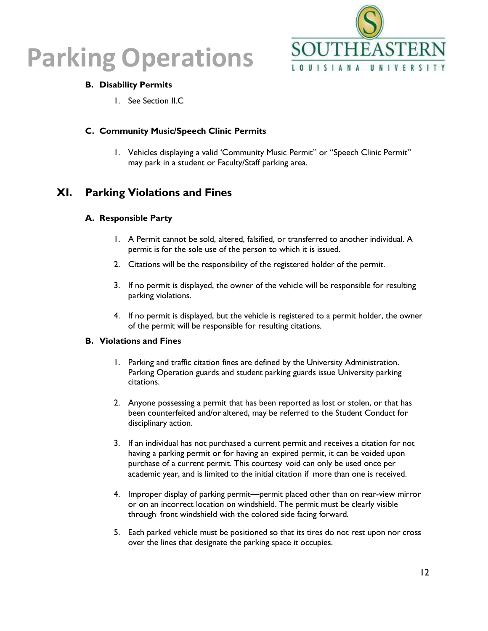



### **B. Disability Permits**

1. See Section II.C

### **C. Community Music/Speech Clinic Permits**

1. Vehicles displaying a valid 'Community Music Permit" or "Speech Clinic Permit" may park in a student or Faculty/Staff parking area.

### **XI. Parking Violations and Fines**

#### **A. Responsible Party**

- 1. A Permit cannot be sold, altered, falsified, or transferred to another individual. A permit is for the sole use of the person to which it is issued.
- 2. Citations will be the responsibility of the registered holder of the permit.
- 3. If no permit is displayed, the owner of the vehicle will be responsible for resulting parking violations.
- 4. If no permit is displayed, but the vehicle is registered to a permit holder, the owner of the permit will be responsible for resulting citations.

#### **B. Violations and Fines**

- 1. Parking and traffic citation fines are defined by the University Administration. Parking Operation guards and student parking guards issue University parking citations.
- 2. Anyone possessing a permit that has been reported as lost or stolen, or that has been counterfeited and/or altered, may be referred to the Student Conduct for disciplinary action.
- 3. If an individual has not purchased a current permit and receives a citation for not having a parking permit or for having an expired permit, it can be voided upon purchase of a current permit. This courtesy void can only be used once per academic year, and is limited to the initial citation if more than one is received.
- 4. Improper display of parking permit—permit placed other than on rear-view mirror or on an incorrect location on windshield. The permit must be clearly visible through front windshield with the colored side facing forward.
- 5. Each parked vehicle must be positioned so that its tires do not rest upon nor cross over the lines that designate the parking space it occupies.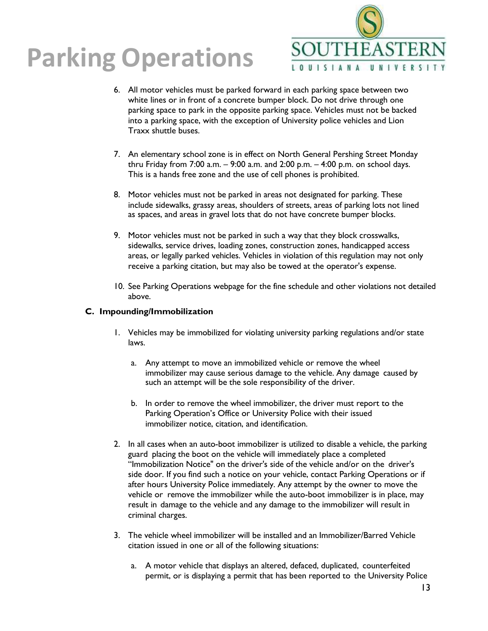

- 6. All motor vehicles must be parked forward in each parking space between two white lines or in front of a concrete bumper block. Do not drive through one parking space to park in the opposite parking space. Vehicles must not be backed into a parking space, with the exception of University police vehicles and Lion Traxx shuttle buses.
- 7. An elementary school zone is in effect on North General Pershing Street Monday thru Friday from 7:00 a.m.  $-$  9:00 a.m. and 2:00 p.m.  $-$  4:00 p.m. on school days. This is a hands free zone and the use of cell phones is prohibited.
- 8. Motor vehicles must not be parked in areas not designated for parking. These include sidewalks, grassy areas, shoulders of streets, areas of parking lots not lined as spaces, and areas in gravel lots that do not have concrete bumper blocks.
- 9. Motor vehicles must not be parked in such a way that they block crosswalks, sidewalks, service drives, loading zones, construction zones, handicapped access areas, or legally parked vehicles. Vehicles in violation of this regulation may not only receive a parking citation, but may also be towed at the operator's expense.
- 10. See Parking Operations webpage for the fine schedule and other violations not detailed above.

### **C. Impounding/Immobilization**

- 1. Vehicles may be immobilized for violating university parking regulations and/or state laws.
	- a. Any attempt to move an immobilized vehicle or remove the wheel immobilizer may cause serious damage to the vehicle. Any damage caused by such an attempt will be the sole responsibility of the driver.
	- b. In order to remove the wheel immobilizer, the driver must report to the Parking Operation's Office or University Police with their issued immobilizer notice, citation, and identification.
- 2. In all cases when an auto-boot immobilizer is utilized to disable a vehicle, the parking guard placing the boot on the vehicle will immediately place a completed "Immobilization Notice" on the driver's side of the vehicle and/or on the driver's side door. If you find such a notice on your vehicle, contact Parking Operations or if after hours University Police immediately. Any attempt by the owner to move the vehicle or remove the immobilizer while the auto-boot immobilizer is in place, may result in damage to the vehicle and any damage to the immobilizer will result in criminal charges.
- 3. The vehicle wheel immobilizer will be installed and an Immobilizer/Barred Vehicle citation issued in one or all of the following situations:
	- a. A motor vehicle that displays an altered, defaced, duplicated, counterfeited permit, or is displaying a permit that has been reported to the University Police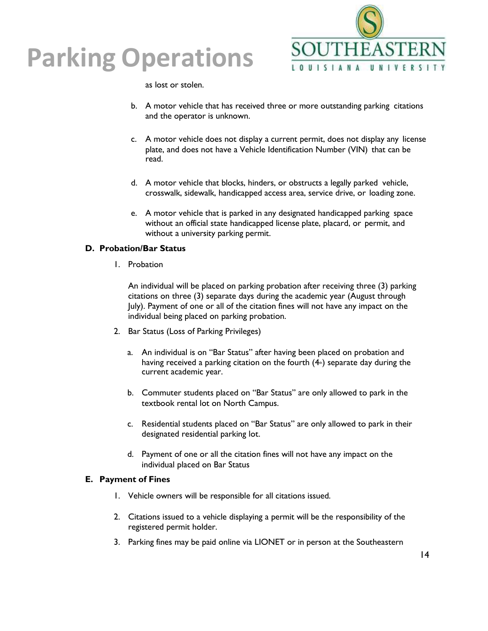

as lost or stolen.

- b. A motor vehicle that has received three or more outstanding parking citations and the operator is unknown.
- c. A motor vehicle does not display a current permit, does not display any license plate, and does not have a Vehicle Identification Number (VIN) that can be read.
- d. A motor vehicle that blocks, hinders, or obstructs a legally parked vehicle, crosswalk, sidewalk, handicapped access area, service drive, or loading zone.
- e. A motor vehicle that is parked in any designated handicapped parking space without an official state handicapped license plate, placard, or permit, and without a university parking permit.

### **D. Probation/Bar Status**

1. Probation

An individual will be placed on parking probation after receiving three (3) parking citations on three (3) separate days during the academic year (August through July). Payment of one or all of the citation fines will not have any impact on the individual being placed on parking probation.

- 2. Bar Status (Loss of Parking Privileges)
	- a. An individual is on "Bar Status" after having been placed on probation and having received a parking citation on the fourth  $(4<sub>th</sub>)$  separate day during the current academic year.
	- b. Commuter students placed on "Bar Status" are only allowed to park in the textbook rental lot on North Campus.
	- c. Residential students placed on "Bar Status" are only allowed to park in their designated residential parking lot.
	- d. Payment of one or all the citation fines will not have any impact on the individual placed on Bar Status

### **E. Payment of Fines**

- 1. Vehicle owners will be responsible for all citations issued.
- 2. Citations issued to a vehicle displaying a permit will be the responsibility of the registered permit holder.
- 3. Parking fines may be paid online via LIONET or in person at the Southeastern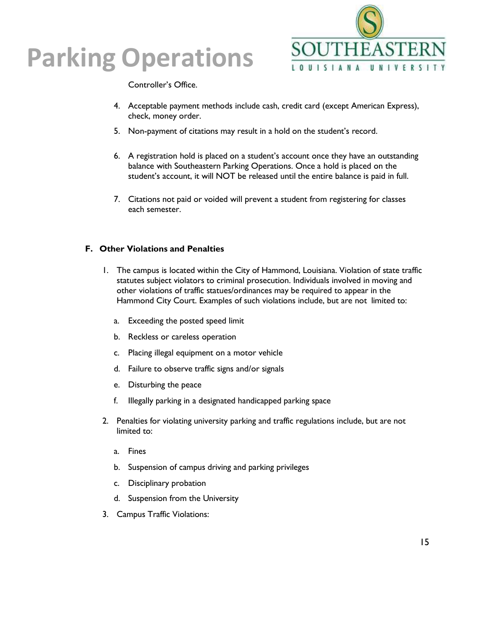

Controller's Office.

- 4. Acceptable payment methods include cash, credit card (except American Express), check, money order.
- 5. Non-payment of citations may result in a hold on the student's record.
- 6. A registration hold is placed on a student's account once they have an outstanding balance with Southeastern Parking Operations. Once a hold is placed on the student's account, it will NOT be released until the entire balance is paid in full.
- 7. Citations not paid or voided will prevent a student from registering for classes each semester.

### **F. Other Violations and Penalties**

- 1. The campus is located within the City of Hammond, Louisiana. Violation of state traffic statutes subject violators to criminal prosecution. Individuals involved in moving and other violations of traffic statues/ordinances may be required to appear in the Hammond City Court. Examples of such violations include, but are not limited to:
	- a. Exceeding the posted speed limit
	- b. Reckless or careless operation
	- c. Placing illegal equipment on a motor vehicle
	- d. Failure to observe traffic signs and/or signals
	- e. Disturbing the peace
	- f. Illegally parking in a designated handicapped parking space
- 2. Penalties for violating university parking and traffic regulations include, but are not limited to:
	- a. Fines
	- b. Suspension of campus driving and parking privileges
	- c. Disciplinary probation
	- d. Suspension from the University
- 3. Campus Traffic Violations: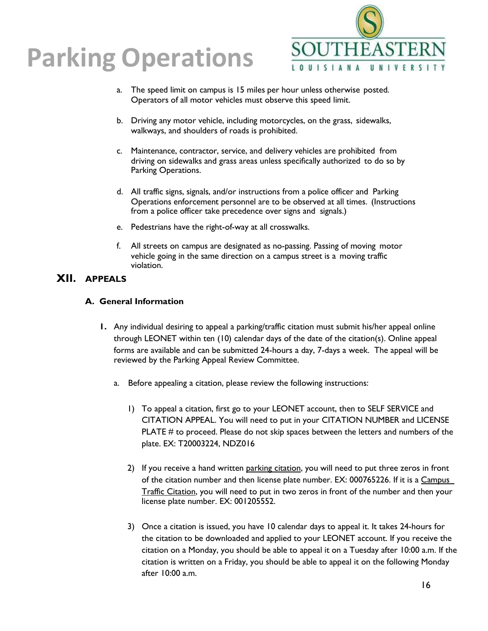

- a. The speed limit on campus is 15 miles per hour unless otherwise posted. Operators of all motor vehicles must observe this speed limit.
- b. Driving any motor vehicle, including motorcycles, on the grass, sidewalks, walkways, and shoulders of roads is prohibited.
- c. Maintenance, contractor, service, and delivery vehicles are prohibited from driving on sidewalks and grass areas unless specifically authorized to do so by Parking Operations.
- d. All traffic signs, signals, and/or instructions from a police officer and Parking Operations enforcement personnel are to be observed at all times. (Instructions from a police officer take precedence over signs and signals.)
- e. Pedestrians have the right-of-way at all crosswalks.
- f. All streets on campus are designated as no-passing. Passing of moving motor vehicle going in the same direction on a campus street is a moving traffic violation.

### **XII. APPEALS**

### **A. General Information**

- **1.** Any individual desiring to appeal a parking/traffic citation must submit his/her appeal online through LEONET within ten (10) calendar days of the date of the citation(s). Online appeal forms are available and can be submitted 24-hours a day, 7-days a week. The appeal will be reviewed by the Parking Appeal Review Committee.
	- a. Before appealing a citation, please review the following instructions:
		- 1) To appeal a citation, first go to your LEONET account, then to SELF SERVICE and CITATION APPEAL. You will need to put in your CITATION NUMBER and LICENSE PLATE # to proceed. Please do not skip spaces between the letters and numbers of the plate. EX: T20003224, NDZ016
		- 2) If you receive a hand written parking citation, you will need to put three zeros in front of the citation number and then license plate number. EX: 000765226. If it is a Campus Traffic Citation, you will need to put in two zeros in front of the number and then your license plate number. EX: 001205552.
		- 3) Once a citation is issued, you have 10 calendar days to appeal it. It takes 24-hours for the citation to be downloaded and applied to your LEONET account. If you receive the citation on a Monday, you should be able to appeal it on a Tuesday after 10:00 a.m. If the citation is written on a Friday, you should be able to appeal it on the following Monday after 10:00 a.m.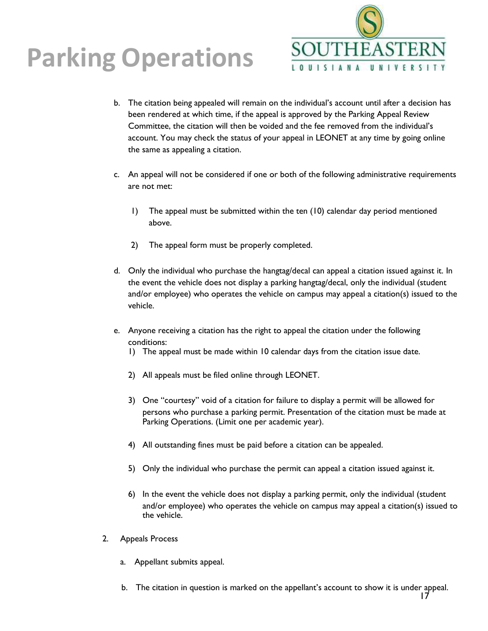

- b. The citation being appealed will remain on the individual's account until after a decision has been rendered at which time, if the appeal is approved by the Parking Appeal Review Committee, the citation will then be voided and the fee removed from the individual's account. You may check the status of your appeal in LEONET at any time by going online the same as appealing a citation.
- c. An appeal will not be considered if one or both of the following administrative requirements are not met:
	- 1) The appeal must be submitted within the ten (10) calendar day period mentioned above.
	- 2) The appeal form must be properly completed.
- d. Only the individual who purchase the hangtag/decal can appeal a citation issued against it. In the event the vehicle does not display a parking hangtag/decal, only the individual (student and/or employee) who operates the vehicle on campus may appeal a citation(s) issued to the vehicle.
- e. Anyone receiving a citation has the right to appeal the citation under the following conditions:
	- 1) The appeal must be made within 10 calendar days from the citation issue date.
	- 2) All appeals must be filed online through LEONET.
	- 3) One "courtesy" void of a citation for failure to display a permit will be allowed for persons who purchase a parking permit. Presentation of the citation must be made at Parking Operations. (Limit one per academic year).
	- 4) All outstanding fines must be paid before a citation can be appealed.
	- 5) Only the individual who purchase the permit can appeal a citation issued against it.
	- 6) In the event the vehicle does not display a parking permit, only the individual (student and/or employee) who operates the vehicle on campus may appeal a citation(s) issued to the vehicle.
- 2. Appeals Process
	- a. Appellant submits appeal.
	- b. The citation in question is marked on the appellant's account to show it is under appeal.